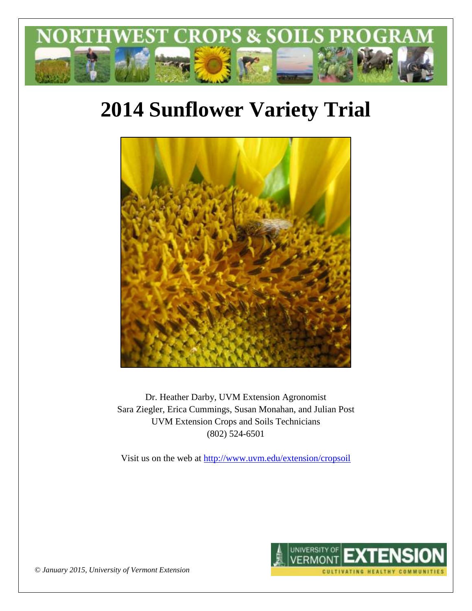

# **2014 Sunflower Variety Trial**



Dr. Heather Darby, UVM Extension Agronomist Sara Ziegler, Erica Cummings, Susan Monahan, and Julian Post UVM Extension Crops and Soils Technicians (802) 524-6501

Visit us on the web at <http://www.uvm.edu/extension/cropsoil>



*© January 2015, University of Vermont Extension*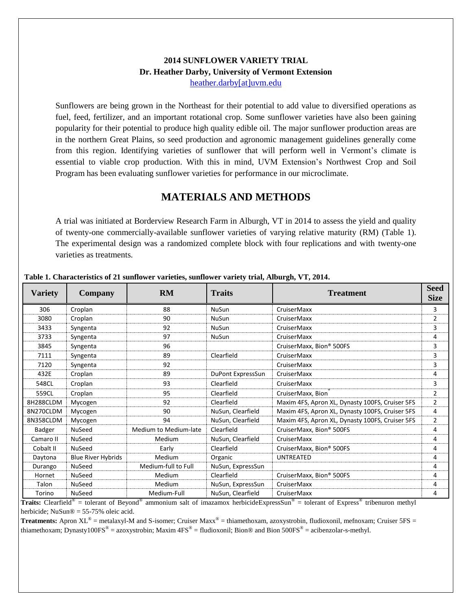### **2014 SUNFLOWER VARIETY TRIAL Dr. Heather Darby, University of Vermont Extension** [heather.darby\[at\]uvm.edu](mailto:heather.darby@uvm.edu?subject=2013%20Sunflower%20Reduced%20Tillage%20Trial)

Sunflowers are being grown in the Northeast for their potential to add value to diversified operations as fuel, feed, fertilizer, and an important rotational crop. Some sunflower varieties have also been gaining popularity for their potential to produce high quality edible oil. The major sunflower production areas are in the northern Great Plains, so seed production and agronomic management guidelines generally come from this region. Identifying varieties of sunflower that will perform well in Vermont's climate is essential to viable crop production. With this in mind, UVM Extension's Northwest Crop and Soil Program has been evaluating sunflower varieties for performance in our microclimate.

## **MATERIALS AND METHODS**

A trial was initiated at Borderview Research Farm in Alburgh, VT in 2014 to assess the yield and quality of twenty-one commercially-available sunflower varieties of varying relative maturity (RM) (Table 1). The experimental design was a randomized complete block with four replications and with twenty-one varieties as treatments.

| <b>Variety</b> | Company                   | <b>RM</b>             | <b>Traits</b>     | <b>Treatment</b>                                | <b>Seed</b><br><b>Size</b> |
|----------------|---------------------------|-----------------------|-------------------|-------------------------------------------------|----------------------------|
| 306            | Croplan                   | 88                    | NuSun             | CruiserMaxx                                     | 3                          |
| 3080           | Croplan                   | 90                    | <b>NuSun</b>      | CruiserMaxx                                     | $\overline{2}$             |
| 3433           | Syngenta                  | 92                    | <b>NuSun</b>      | CruiserMaxx                                     | 3                          |
| 3733           | Syngenta                  | 97                    | <b>NuSun</b>      | CruiserMaxx                                     | 4                          |
| 3845           | Syngenta                  | 96                    |                   | CruiserMaxx, Bion® 500FS                        | 3                          |
| 7111           | Syngenta                  | 89                    | Clearfield        | CruiserMaxx                                     | 3                          |
| 7120           | Syngenta                  | 92                    |                   | CruiserMaxx                                     | 3                          |
| 432E           | Croplan                   | 89                    | DuPont ExpressSun | CruiserMaxx                                     | 4                          |
| 548CL          | Croplan                   | 93                    | Clearfield        | CruiserMaxx                                     | 3                          |
| 559CL          | Croplan                   | 95                    | Clearfield        | CruiserMaxx, Bion                               | 2                          |
| 8H288CLDM      | Mycogen                   | 92                    | Clearfield        | Maxim 4FS, Apron XL, Dynasty 100FS, Cruiser 5FS | $\overline{2}$             |
| 8N270CLDM      | Mycogen                   | 90                    | NuSun, Clearfield | Maxim 4FS, Apron XL, Dynasty 100FS, Cruiser 5FS | 4                          |
| 8N358CLDM      | Mycogen                   | 94                    | NuSun, Clearfield | Maxim 4FS, Apron XL, Dynasty 100FS, Cruiser 5FS | $\overline{2}$             |
| <b>Badger</b>  | <b>NuSeed</b>             | Medium to Medium-late | Clearfield        | CruiserMaxx, Bion® 500FS                        | 4                          |
| Camaro II      | <b>NuSeed</b>             | Medium                | NuSun, Clearfield | CruiserMaxx                                     | 4                          |
| Cobalt II      | <b>NuSeed</b>             | Early                 | Clearfield        | CruiserMaxx, Bion® 500FS                        | 4                          |
| Daytona        | <b>Blue River Hybrids</b> | Medium                | Organic           | <b>UNTREATED</b>                                | 4                          |
| Durango        | <b>NuSeed</b>             | Medium-full to Full   | NuSun, ExpressSun |                                                 | 4                          |
| Hornet         | <b>NuSeed</b>             | Medium                | Clearfield        | CruiserMaxx, Bion® 500FS                        | 4                          |
| Talon          | <b>NuSeed</b>             | Medium                | NuSun, ExpressSun | CruiserMaxx                                     | 4                          |
| Torino         | <b>NuSeed</b>             | Medium-Full           | NuSun, Clearfield | CruiserMaxx                                     | 4                          |

#### **Table 1. Characteristics of 21 sunflower varieties, sunflower variety trial, Alburgh, VT, 2014.**

Traits: Clearfield<sup>®</sup> = tolerant of Beyond<sup>®</sup> ammonium salt of imazamox herbicideExpressSun<sup>®</sup> = tolerant of Express<sup>®</sup> tribenuron methyl herbicide: NuSun $\mathcal{D} = 55-75\%$  oleic acid.

**Treatments:** Apron XL<sup>®</sup> = metalaxyl-M and S-isomer; Cruiser Maxx<sup>®</sup> = thiamethoxam, azoxystrobin, fludioxonil, mefnoxam; Cruiser 5FS = thiamethoxam; Dynasty100FS® = azoxystrobin; Maxim 4FS® = fludioxonil; Bion® and Bion 500FS® = acibenzolar-s-methyl.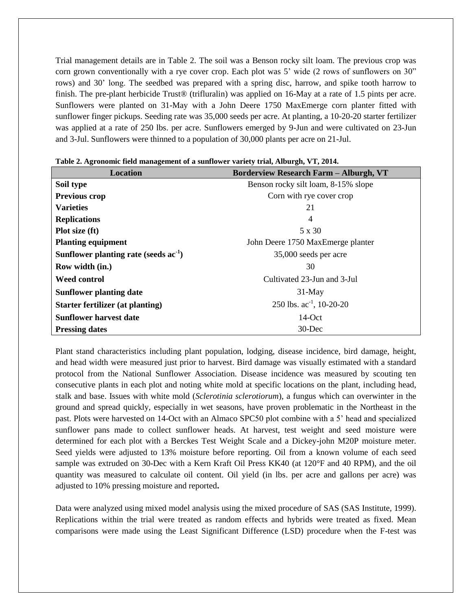Trial management details are in Table 2. The soil was a Benson rocky silt loam. The previous crop was corn grown conventionally with a rye cover crop. Each plot was 5' wide (2 rows of sunflowers on 30" rows) and 30' long. The seedbed was prepared with a spring disc, harrow, and spike tooth harrow to finish. The pre-plant herbicide Trust® (trifluralin) was applied on 16-May at a rate of 1.5 pints per acre. Sunflowers were planted on 31-May with a John Deere 1750 MaxEmerge corn planter fitted with sunflower finger pickups. Seeding rate was 35,000 seeds per acre. At planting, a 10-20-20 starter fertilizer was applied at a rate of 250 lbs. per acre. Sunflowers emerged by 9-Jun and were cultivated on 23-Jun and 3-Jul. Sunflowers were thinned to a population of 30,000 plants per acre on 21-Jul.

| <b>Location</b>                         | <b>Borderview Research Farm - Alburgh, VT</b> |
|-----------------------------------------|-----------------------------------------------|
| Soil type                               | Benson rocky silt loam, 8-15% slope           |
| Previous crop                           | Corn with rye cover crop                      |
| <b>Varieties</b>                        | 21                                            |
| <b>Replications</b>                     | 4                                             |
| Plot size (ft)                          | 5 x 30                                        |
| <b>Planting equipment</b>               | John Deere 1750 MaxEmerge planter             |
| Sunflower planting rate (seeds $ac-1$ ) | 35,000 seeds per acre                         |
| Row width (in.)                         | 30                                            |
| Weed control                            | Cultivated 23-Jun and 3-Jul                   |
| <b>Sunflower planting date</b>          | $31$ -May                                     |
| Starter fertilizer (at planting)        | 250 lbs. $ac^{-1}$ , 10-20-20                 |
| <b>Sunflower harvest date</b>           | $14$ -Oct                                     |
| <b>Pressing dates</b>                   | $30$ -Dec                                     |

|  | Table 2. Agronomic field management of a sunflower variety trial, Alburgh, VT, 2014. |  |  |  |
|--|--------------------------------------------------------------------------------------|--|--|--|
|  |                                                                                      |  |  |  |

Plant stand characteristics including plant population, lodging, disease incidence, bird damage, height, and head width were measured just prior to harvest. Bird damage was visually estimated with a standard protocol from the National Sunflower Association. Disease incidence was measured by scouting ten consecutive plants in each plot and noting white mold at specific locations on the plant, including head, stalk and base. Issues with white mold (*Sclerotinia sclerotiorum*), a fungus which can overwinter in the ground and spread quickly, especially in wet seasons, have proven problematic in the Northeast in the past. Plots were harvested on 14-Oct with an Almaco SPC50 plot combine with a 5' head and specialized sunflower pans made to collect sunflower heads. At harvest, test weight and seed moisture were determined for each plot with a Berckes Test Weight Scale and a Dickey-john M20P moisture meter. Seed yields were adjusted to 13% moisture before reporting. Oil from a known volume of each seed sample was extruded on 30-Dec with a Kern Kraft Oil Press KK40 (at 120°F and 40 RPM), and the oil quantity was measured to calculate oil content. Oil yield (in lbs. per acre and gallons per acre) was adjusted to 10% pressing moisture and reported**.**

Data were analyzed using mixed model analysis using the mixed procedure of SAS (SAS Institute, 1999). Replications within the trial were treated as random effects and hybrids were treated as fixed. Mean comparisons were made using the Least Significant Difference (LSD) procedure when the F-test was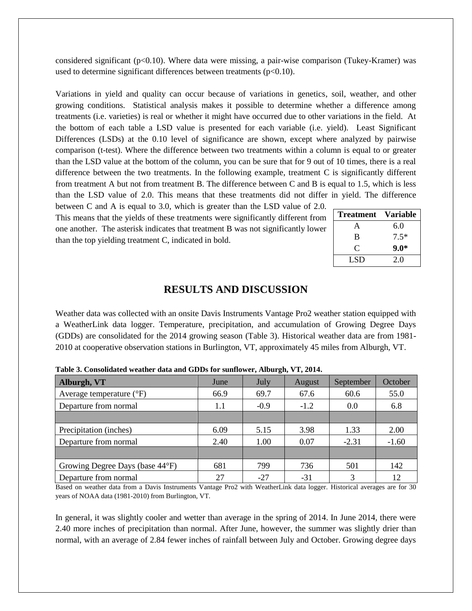considered significant ( $p<0.10$ ). Where data were missing, a pair-wise comparison (Tukey-Kramer) was used to determine significant differences between treatments  $(p<0.10)$ .

Variations in yield and quality can occur because of variations in genetics, soil, weather, and other growing conditions. Statistical analysis makes it possible to determine whether a difference among treatments (i.e. varieties) is real or whether it might have occurred due to other variations in the field. At the bottom of each table a LSD value is presented for each variable (i.e. yield). Least Significant Differences (LSDs) at the 0.10 level of significance are shown, except where analyzed by pairwise comparison (t-test). Where the difference between two treatments within a column is equal to or greater than the LSD value at the bottom of the column, you can be sure that for 9 out of 10 times, there is a real difference between the two treatments. In the following example, treatment C is significantly different from treatment A but not from treatment B. The difference between C and B is equal to 1.5, which is less than the LSD value of 2.0. This means that these treatments did not differ in yield. The difference

between C and A is equal to 3.0, which is greater than the LSD value of 2.0. This means that the yields of these treatments were significantly different from one another. The asterisk indicates that treatment B was not significantly lower than the top yielding treatment C, indicated in bold.

| Treatment | <b>Variable</b> |
|-----------|-----------------|
| A         | 6.0             |
| B         | $7.5*$          |
| C         | $9.0*$          |
| LSD       | 2.0             |

## **RESULTS AND DISCUSSION**

Weather data was collected with an onsite Davis Instruments Vantage Pro2 weather station equipped with a WeatherLink data logger. Temperature, precipitation, and accumulation of Growing Degree Days (GDDs) are consolidated for the 2014 growing season (Table 3). Historical weather data are from 1981- 2010 at cooperative observation stations in Burlington, VT, approximately 45 miles from Alburgh, VT.

| Alburgh, VT                         | June | July   | August | September | October |
|-------------------------------------|------|--------|--------|-----------|---------|
| Average temperature $({}^{\circ}F)$ | 66.9 | 69.7   | 67.6   | 60.6      | 55.0    |
| Departure from normal               | 1.1  | $-0.9$ | $-1.2$ | 0.0       | 6.8     |
|                                     |      |        |        |           |         |
| Precipitation (inches)              | 6.09 | 5.15   | 3.98   | 1.33      | 2.00    |
| Departure from normal               | 2.40 | 1.00   | 0.07   | $-2.31$   | $-1.60$ |
|                                     |      |        |        |           |         |
| Growing Degree Days (base 44°F)     | 681  | 799    | 736    | 501       | 142     |
| Departure from normal               | 27   | $-27$  | $-31$  |           | 12      |

**Table 3. Consolidated weather data and GDDs for sunflower, Alburgh, VT, 2014.**

Based on weather data from a Davis Instruments Vantage Pro2 with WeatherLink data logger. Historical averages are for 30 years of NOAA data (1981-2010) from Burlington, VT.

In general, it was slightly cooler and wetter than average in the spring of 2014. In June 2014, there were 2.40 more inches of precipitation than normal. After June, however, the summer was slightly drier than normal, with an average of 2.84 fewer inches of rainfall between July and October. Growing degree days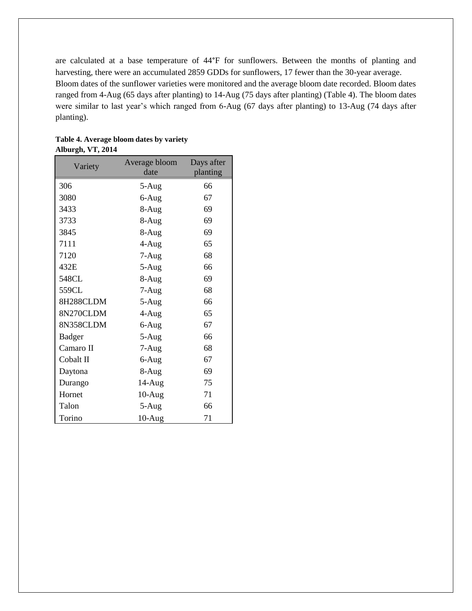are calculated at a base temperature of 44°F for sunflowers. Between the months of planting and harvesting, there were an accumulated 2859 GDDs for sunflowers, 17 fewer than the 30-year average. Bloom dates of the sunflower varieties were monitored and the average bloom date recorded. Bloom dates ranged from 4-Aug (65 days after planting) to 14-Aug (75 days after planting) (Table 4). The bloom dates were similar to last year's which ranged from 6-Aug (67 days after planting) to 13-Aug (74 days after planting).

| Variety       | Average bloom | Days after |  |  |
|---------------|---------------|------------|--|--|
|               | date          | planting   |  |  |
| 306           | $5-Aug$       | 66         |  |  |
| 3080          | 6-Aug         | 67         |  |  |
| 3433          | 8-Aug         | 69         |  |  |
| 3733          | 8-Aug         | 69         |  |  |
| 3845          | $8-Aug$       | 69         |  |  |
| 7111          | $4-Aug$       | 65         |  |  |
| 7120          | 7-Aug         | 68         |  |  |
| 432E          | 5-Aug         | 66         |  |  |
| 548CL         | $8-Aug$       | 69         |  |  |
| 559CL         | $7-Aug$       | 68         |  |  |
| 8H288CLDM     | $5-Aug$       | 66         |  |  |
| 8N270CLDM     | 4-Aug         | 65         |  |  |
| 8N358CLDM     | 6-Aug         | 67         |  |  |
| <b>Badger</b> | 5-Aug         | 66         |  |  |
| Camaro II     | $7-Aug$       | 68         |  |  |
| Cobalt II     | 6-Aug         | 67         |  |  |
| Daytona       | 8-Aug         | 69         |  |  |
| Durango       | $14-Aug$      | 75         |  |  |
| Hornet        | $10-Aug$      | 71         |  |  |
| Talon         | 5-Aug         | 66         |  |  |
| Torino        | $10-Aug$      | 71         |  |  |

**Table 4. Average bloom dates by variety Alburgh, VT, 2014**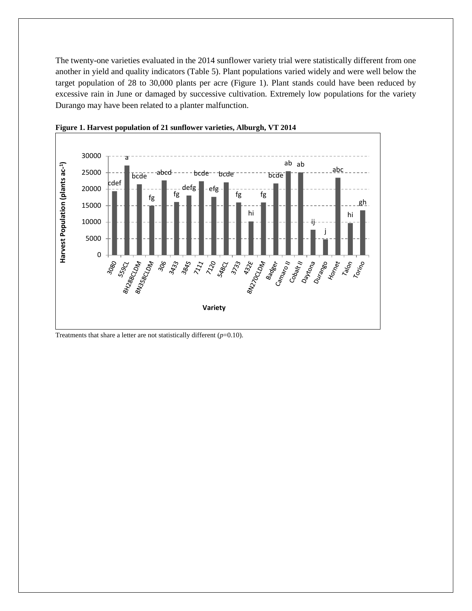The twenty-one varieties evaluated in the 2014 sunflower variety trial were statistically different from one another in yield and quality indicators (Table 5). Plant populations varied widely and were well below the target population of 28 to 30,000 plants per acre (Figure 1). Plant stands could have been reduced by excessive rain in June or damaged by successive cultivation. Extremely low populations for the variety Durango may have been related to a planter malfunction.





Treatments that share a letter are not statistically different  $(p=0.10)$ .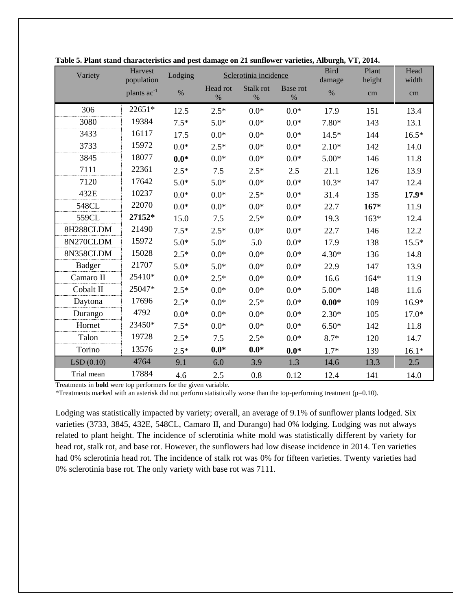| Variety       | Harvest<br>population | Lodging |                  | Sclerotinia incidence |                  | <b>Bird</b><br>damage | Plant<br>height | Head<br>width |
|---------------|-----------------------|---------|------------------|-----------------------|------------------|-----------------------|-----------------|---------------|
|               | plants $ac^{-1}$      | $\%$    | Head rot<br>$\%$ | Stalk rot<br>$\%$     | Base rot<br>$\%$ | $\%$                  | cm              | cm            |
| 306           | 22651*                | 12.5    | $2.5*$           | $0.0*$                | $0.0*$           | 17.9                  | 151             | 13.4          |
| 3080          | 19384                 | $7.5*$  | $5.0*$           | $0.0*$                | $0.0*$           | 7.80*                 | 143             | 13.1          |
| 3433          | 16117                 | 17.5    | $0.0*$           | $0.0*$                | $0.0*$           | $14.5*$               | 144             | $16.5*$       |
| 3733          | 15972                 | $0.0*$  | $2.5*$           | $0.0*$                | $0.0*$           | $2.10*$               | 142             | 14.0          |
| 3845          | 18077                 | $0.0*$  | $0.0*$           | $0.0*$                | $0.0*$           | $5.00*$               | 146             | 11.8          |
| 7111          | 22361                 | $2.5*$  | 7.5              | $2.5*$                | 2.5              | 21.1                  | 126             | 13.9          |
| 7120          | 17642                 | $5.0*$  | $5.0*$           | $0.0*$                | $0.0*$           | $10.3*$               | 147             | 12.4          |
| 432E          | 10237                 | $0.0*$  | $0.0*$           | $2.5*$                | $0.0*$           | 31.4                  | 135             | $17.9*$       |
| 548CL         | 22070                 | $0.0*$  | $0.0*$           | $0.0*$                | $0.0*$           | 22.7                  | $167*$          | 11.9          |
| 559CL         | 27152*                | 15.0    | 7.5              | $2.5*$                | $0.0*$           | 19.3                  | $163*$          | 12.4          |
| 8H288CLDM     | 21490                 | $7.5*$  | $2.5*$           | $0.0*$                | $0.0*$           | 22.7                  | 146             | 12.2          |
| 8N270CLDM     | 15972                 | $5.0*$  | $5.0*$           | 5.0                   | $0.0*$           | 17.9                  | 138             | $15.5*$       |
| 8N358CLDM     | 15028                 | $2.5*$  | $0.0*$           | $0.0*$                | $0.0*$           | $4.30*$               | 136             | 14.8          |
| <b>Badger</b> | 21707                 | $5.0*$  | $5.0*$           | $0.0*$                | $0.0*$           | 22.9                  | 147             | 13.9          |
| Camaro II     | 25410*                | $0.0*$  | $2.5*$           | $0.0*$                | $0.0*$           | 16.6                  | $164*$          | 11.9          |
| Cobalt II     | 25047*                | $2.5*$  | $0.0*$           | $0.0*$                | $0.0*$           | $5.00*$               | 148             | 11.6          |
| Daytona       | 17696                 | $2.5*$  | $0.0*$           | $2.5*$                | $0.0*$           | $0.00*$               | 109             | $16.9*$       |
| Durango       | 4792                  | $0.0*$  | $0.0*$           | $0.0*$                | $0.0*$           | $2.30*$               | 105             | $17.0*$       |
| Hornet        | 23450*                | $7.5*$  | $0.0*$           | $0.0*$                | $0.0*$           | $6.50*$               | 142             | 11.8          |
| Talon         | 19728                 | $2.5*$  | 7.5              | $2.5*$                | $0.0*$           | $8.7*$                | 120             | 14.7          |
| Torino        | 13576                 | $2.5*$  | $0.0*$           | $0.0*$                | $0.0*$           | $1.7*$                | 139             | $16.1*$       |
| LSD(0.10)     | 4764                  | 9.1     | 6.0              | 3.9                   | 1.3              | 14.6                  | 13.3            | 2.5           |
| Trial mean    | 17884                 | 4.6     | 2.5              | 0.8                   | 0.12             | 12.4                  | 141             | 14.0          |

|  | Table 5. Plant stand characteristics and pest damage on 21 sunflower varieties, Alburgh, VT, 2014. |  |  |  |
|--|----------------------------------------------------------------------------------------------------|--|--|--|
|--|----------------------------------------------------------------------------------------------------|--|--|--|

Treatments in **bold** were top performers for the given variable.

\*Treatments marked with an asterisk did not perform statistically worse than the top-performing treatment (p=0.10).

Lodging was statistically impacted by variety; overall, an average of 9.1% of sunflower plants lodged. Six varieties (3733, 3845, 432E, 548CL, Camaro II, and Durango) had 0% lodging. Lodging was not always related to plant height. The incidence of sclerotinia white mold was statistically different by variety for head rot, stalk rot, and base rot. However, the sunflowers had low disease incidence in 2014. Ten varieties had 0% sclerotinia head rot. The incidence of stalk rot was 0% for fifteen varieties. Twenty varieties had 0% sclerotinia base rot. The only variety with base rot was 7111.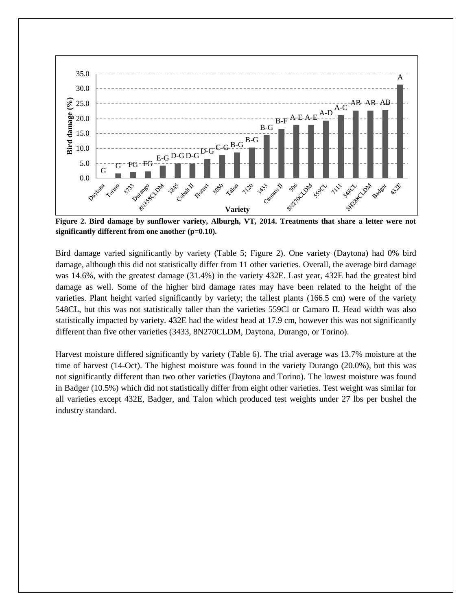

**Figure 2. Bird damage by sunflower variety, Alburgh, VT, 2014. Treatments that share a letter were not significantly different from one another (p=0.10).**

Bird damage varied significantly by variety (Table 5; Figure 2). One variety (Daytona) had 0% bird damage, although this did not statistically differ from 11 other varieties. Overall, the average bird damage was 14.6%, with the greatest damage (31.4%) in the variety 432E. Last year, 432E had the greatest bird damage as well. Some of the higher bird damage rates may have been related to the height of the varieties. Plant height varied significantly by variety; the tallest plants (166.5 cm) were of the variety 548CL, but this was not statistically taller than the varieties 559Cl or Camaro II. Head width was also statistically impacted by variety. 432E had the widest head at 17.9 cm, however this was not significantly different than five other varieties (3433, 8N270CLDM, Daytona, Durango, or Torino).

Harvest moisture differed significantly by variety (Table 6). The trial average was 13.7% moisture at the time of harvest (14-Oct). The highest moisture was found in the variety Durango (20.0%), but this was not significantly different than two other varieties (Daytona and Torino). The lowest moisture was found in Badger (10.5%) which did not statistically differ from eight other varieties. Test weight was similar for all varieties except 432E, Badger, and Talon which produced test weights under 27 lbs per bushel the industry standard.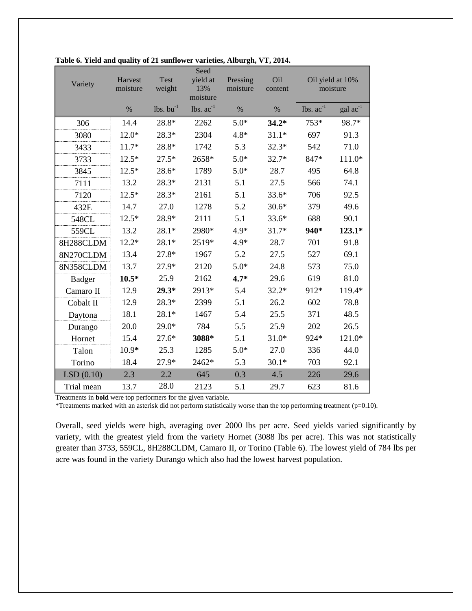| Variety       | Harvest<br>moisture | Test<br>weight    | Seed<br>yield at<br>13%<br>moisture | Oil<br>Pressing<br>moisture<br>content |         | Oil yield at 10%<br>moisture   |                      |
|---------------|---------------------|-------------------|-------------------------------------|----------------------------------------|---------|--------------------------------|----------------------|
|               | $\%$                | $lbs.$ bu $^{-1}$ | lbs. $ac^{-1}$                      | $\%$                                   | $\%$    | $\text{lbs.}$ $\text{ac}^{-1}$ | $\text{gal ac}^{-1}$ |
| 306           | 14.4                | 28.8*             | 2262                                | $5.0*$                                 | $34.2*$ | $753*$                         | 98.7*                |
| 3080          | $12.0*$             | 28.3*             | 2304                                | $4.8*$                                 | $31.1*$ | 697                            | 91.3                 |
| 3433          | $11.7*$             | 28.8*             | 1742                                | 5.3                                    | $32.3*$ | 542                            | 71.0                 |
| 3733          | $12.5*$             | $27.5*$           | 2658*                               | $5.0*$                                 | $32.7*$ | 847*                           | $111.0*$             |
| 3845          | $12.5*$             | 28.6*             | 1789                                | $5.0*$                                 | 28.7    | 495                            | 64.8                 |
| 7111          | 13.2                | 28.3*             | 2131                                | 5.1                                    | 27.5    | 566                            | 74.1                 |
| 7120          | $12.5*$             | $28.3*$           | 2161                                | 5.1                                    | $33.6*$ | 706                            | 92.5                 |
| 432E          | 14.7                | 27.0              | 1278                                | 5.2                                    | $30.6*$ | 379                            | 49.6                 |
| 548CL         | $12.5*$             | 28.9*             | 2111                                | 5.1                                    | $33.6*$ | 688                            | 90.1                 |
| 559CL         | 13.2                | $28.1*$           | 2980*                               | 4.9*                                   | $31.7*$ | 940*                           | $123.1*$             |
| 8H288CLDM     | $12.2*$             | $28.1*$           | 2519*                               | 4.9*                                   | 28.7    | 701                            | 91.8                 |
| 8N270CLDM     | 13.4                | 27.8*             | 1967                                | 5.2                                    | 27.5    | 527                            | 69.1                 |
| 8N358CLDM     | 13.7                | 27.9*             | 2120                                | $5.0*$                                 | 24.8    | 573                            | 75.0                 |
| <b>Badger</b> | $10.5*$             | 25.9              | 2162                                | $4.7*$                                 | 29.6    | 619                            | 81.0                 |
| Camaro II     | 12.9                | $29.3*$           | 2913*                               | 5.4                                    | $32.2*$ | 912*                           | 119.4*               |
| Cobalt II     | 12.9                | 28.3*             | 2399                                | 5.1                                    | 26.2    | 602                            | 78.8                 |
| Daytona       | 18.1                | $28.1*$           | 1467                                | 5.4                                    | 25.5    | 371                            | 48.5                 |
| Durango       | 20.0                | $29.0*$           | 784                                 | 5.5                                    | 25.9    | 202                            | 26.5                 |
| Hornet        | 15.4                | $27.6*$           | 3088*                               | 5.1                                    | $31.0*$ | 924*                           | 121.0*               |
| Talon         | 10.9*               | 25.3              | 1285                                | $5.0*$                                 | 27.0    | 336                            | 44.0                 |
| Torino        | 18.4                | 27.9*             | 2462*                               | 5.3                                    | $30.1*$ | 703                            | 92.1                 |
| LSD(0.10)     | 2.3                 | 2.2               | 645                                 | 0.3                                    | 4.5     | 226                            | 29.6                 |
| Trial mean    | 13.7                | 28.0              | 2123                                | 5.1                                    | 29.7    | 623                            | 81.6                 |

|  |  | Table 6. Yield and quality of 21 sunflower varieties, Alburgh, VT, 2014. |  |  |
|--|--|--------------------------------------------------------------------------|--|--|
|  |  |                                                                          |  |  |

Treatments in **bold** were top performers for the given variable.

\*Treatments marked with an asterisk did not perform statistically worse than the top performing treatment (p=0.10).

Overall, seed yields were high, averaging over 2000 lbs per acre. Seed yields varied significantly by variety, with the greatest yield from the variety Hornet (3088 lbs per acre). This was not statistically greater than 3733, 559CL, 8H288CLDM, Camaro II, or Torino (Table 6). The lowest yield of 784 lbs per acre was found in the variety Durango which also had the lowest harvest population.